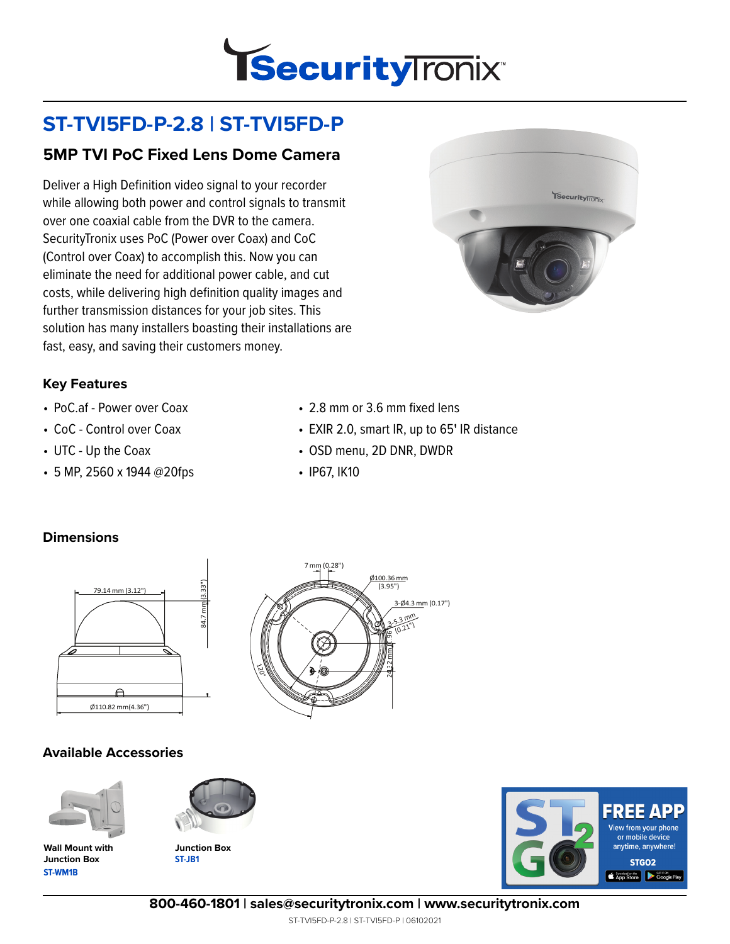

# **ST-TVI5FD-P-2.8 | ST-TVI5FD-P**

## **5MP TVI PoC Fixed Lens Dome Camera**

Deliver a High Definition video signal to your recorder while allowing both power and control signals to transmit over one coaxial cable from the DVR to the camera. SecurityTronix uses PoC (Power over Coax) and CoC (Control over Coax) to accomplish this. Now you can eliminate the need for additional power cable, and cut costs, while delivering high definition quality images and further transmission distances for your job sites. This solution has many installers boasting their installations are fast, easy, and saving their customers money.



#### **Key Features**

- PoC.af Power over Coax
- CoC Control over Coax
- UTC Up the Coax
- 5 MP, 2560 x 1944 @20fps
- 2.8 mm or 3.6 mm fixed lens
- EXIR 2.0, smart IR, up to 65**'** IR distance
- OSD menu, 2D DNR, DWDR
- IP67, IK10

### **Dimensions**



### **Available Accessories**



**ST-WM1B Wall Mount with Junction Box**



**ST-JB1**



**800-460-1801 | sales@securitytronix.com | www.securitytronix.com**

ST-TVI5FD-P-2.8 | ST-TVI5FD-P | 06102021